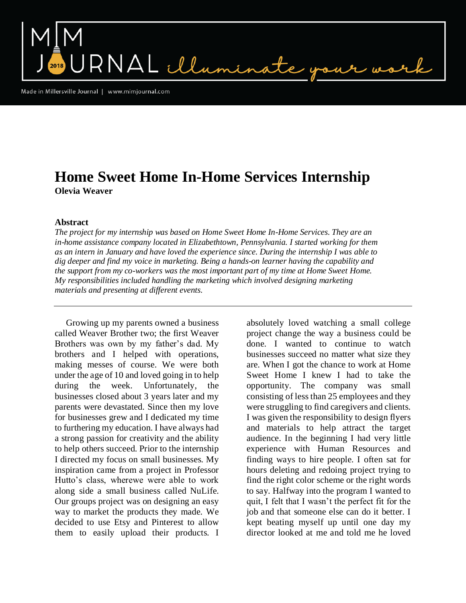NAL illum

Made in Millersville Journal | www.mimjournal.com

## **Home Sweet Home In-Home Services Internship Olevia Weaver**

## **Abstract**

*The project for my internship was based on Home Sweet Home In-Home Services. They are an in-home assistance company located in Elizabethtown, Pennsylvania. I started working for them as an intern in January and have loved the experience since. During the internship I was able to dig deeper and find my voice in marketing. Being a hands-on learner having the capability and the support from my co-workers was the most important part of my time at Home Sweet Home. My responsibilities included handling the marketing which involved designing marketing materials and presenting at different events.*

 Growing up my parents owned a business called Weaver Brother two; the first Weaver Brothers was own by my father's dad. My brothers and I helped with operations, making messes of course. We were both under the age of 10 and loved going in to help during the week. Unfortunately, the businesses closed about 3 years later and my parents were devastated. Since then my love for businesses grew and I dedicated my time to furthering my education. I have always had a strong passion for creativity and the ability to help others succeed. Prior to the internship I directed my focus on small businesses. My inspiration came from a project in Professor Hutto's class, wherewe were able to work along side a small business called NuLife. Our groups project was on designing an easy way to market the products they made. We decided to use Etsy and Pinterest to allow them to easily upload their products. I

absolutely loved watching a small college project change the way a business could be done. I wanted to continue to watch businesses succeed no matter what size they are. When I got the chance to work at Home Sweet Home I knew I had to take the opportunity. The company was small consisting of less than 25 employees and they were struggling to find caregivers and clients. I was given the responsibility to design flyers and materials to help attract the target audience. In the beginning I had very little experience with Human Resources and finding ways to hire people. I often sat for hours deleting and redoing project trying to find the right color scheme or the right words to say. Halfway into the program I wanted to quit, I felt that I wasn't the perfect fit for the job and that someone else can do it better. I kept beating myself up until one day my director looked at me and told me he loved